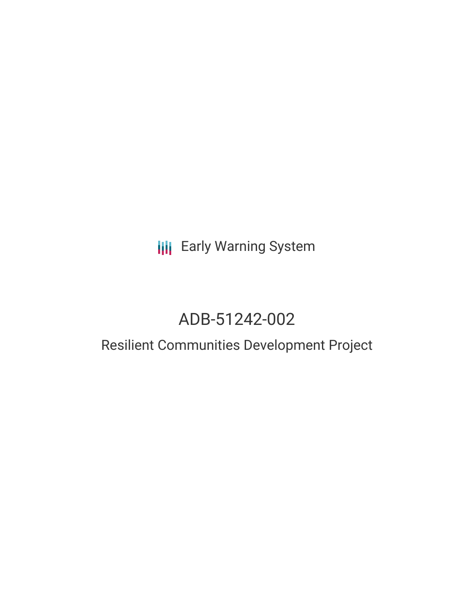## **III** Early Warning System

# ADB-51242-002

### Resilient Communities Development Project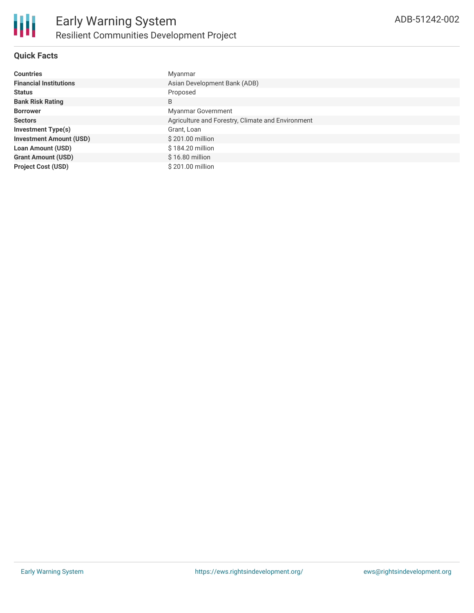

#### **Quick Facts**

| <b>Countries</b>               | Myanmar                                           |
|--------------------------------|---------------------------------------------------|
| <b>Financial Institutions</b>  | Asian Development Bank (ADB)                      |
| <b>Status</b>                  | Proposed                                          |
| <b>Bank Risk Rating</b>        | B                                                 |
| <b>Borrower</b>                | <b>Myanmar Government</b>                         |
| <b>Sectors</b>                 | Agriculture and Forestry, Climate and Environment |
| Investment Type(s)             | Grant, Loan                                       |
| <b>Investment Amount (USD)</b> | \$201.00 million                                  |
| <b>Loan Amount (USD)</b>       | \$184.20 million                                  |
| <b>Grant Amount (USD)</b>      | $$16.80$ million                                  |
| <b>Project Cost (USD)</b>      | \$201.00 million                                  |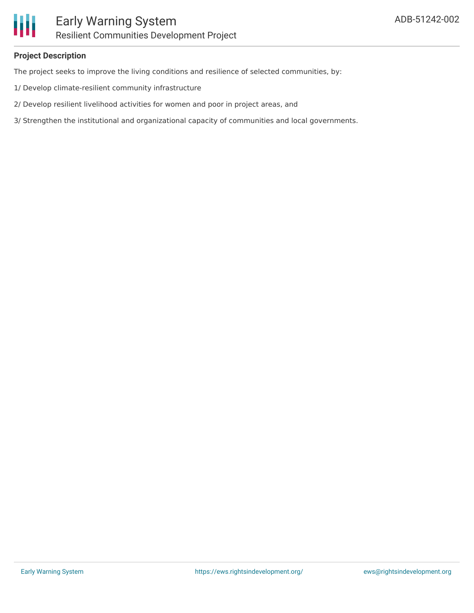

#### **Project Description**

The project seeks to improve the living conditions and resilience of selected communities, by:

- 1/ Develop climate-resilient community infrastructure
- 2/ Develop resilient livelihood activities for women and poor in project areas, and
- 3/ Strengthen the institutional and organizational capacity of communities and local governments.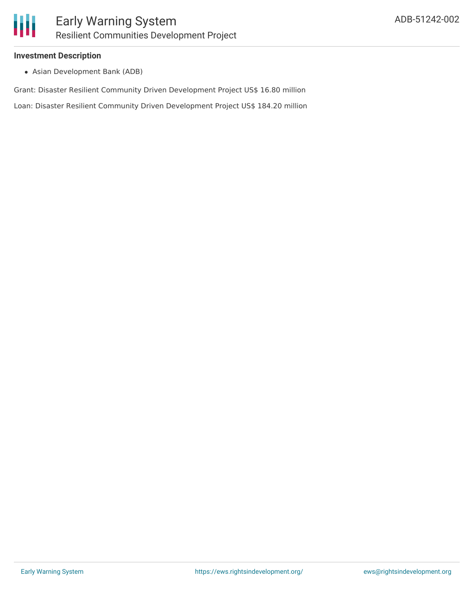

#### **Investment Description**

Asian Development Bank (ADB)

Grant: Disaster Resilient Community Driven Development Project US\$ 16.80 million

Loan: Disaster Resilient Community Driven Development Project US\$ 184.20 million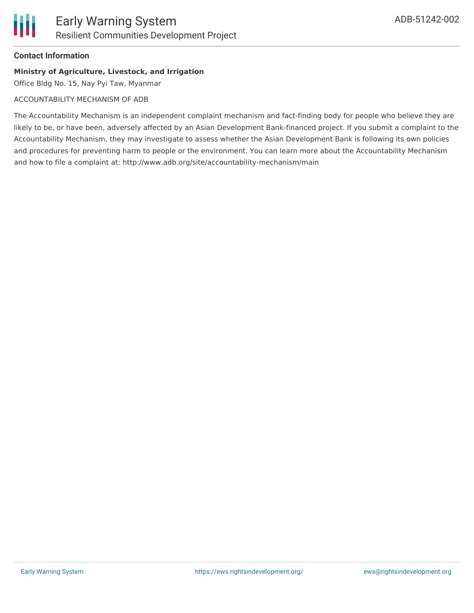#### **Contact Information**

#### **Ministry of Agriculture, Livestock, and Irrigation**

Office Bldg No. 15, Nay Pyi Taw, Myanmar

#### ACCOUNTABILITY MECHANISM OF ADB

The Accountability Mechanism is an independent complaint mechanism and fact-finding body for people who believe they are likely to be, or have been, adversely affected by an Asian Development Bank-financed project. If you submit a complaint to the Accountability Mechanism, they may investigate to assess whether the Asian Development Bank is following its own policies and procedures for preventing harm to people or the environment. You can learn more about the Accountability Mechanism and how to file a complaint at: http://www.adb.org/site/accountability-mechanism/main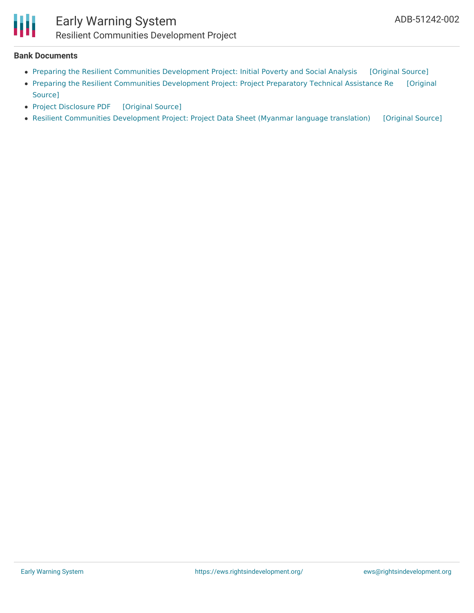

### Early Warning System Resilient Communities Development Project

#### **Bank Documents**

- Preparing the Resilient Communities [Development](https://ewsdata.rightsindevelopment.org/files/documents/02/ADB-51242-002_lJF3Gm8.pdf) Project: Initial Poverty and Social Analysis [\[Original](https://www.adb.org/projects/documents/mya-51242-002-ipsa) Source]
- Preparing the Resilient Communities [Development](https://www.adb.org/projects/documents/mya-51242-001-pptar) Project: Project Preparatory Technical Assistance Re [Original Source]
- Project [Disclosure](https://ewsdata.rightsindevelopment.org/files/documents/02/ADB-51242-002.pdf) PDF [\[Original](https://www.adb.org/printpdf/projects/51242-002/main) Source]
- Resilient Communities [Development](https://ewsdata.rightsindevelopment.org/files/documents/02/ADB-51242-002_DUMIprH.pdf) Project: Project Data Sheet (Myanmar language translation) [\[Original](https://www.adb.org/my/projects/documents/mya-51242-002-pds) Source]